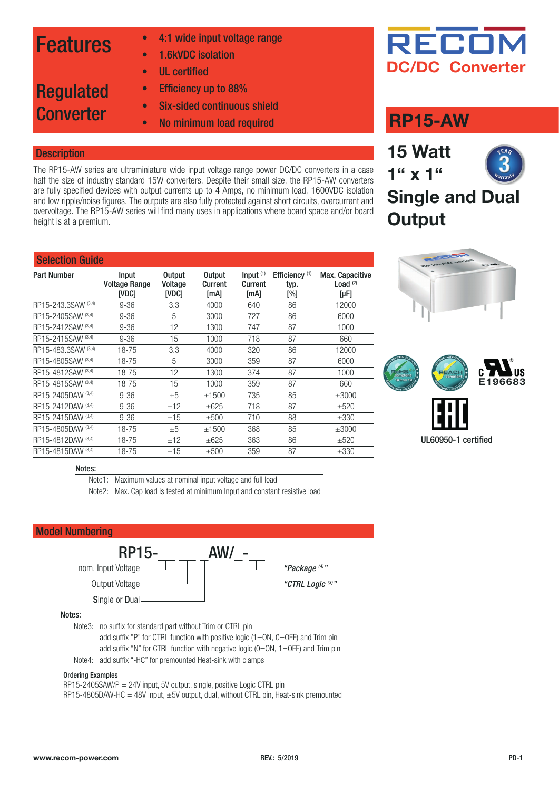### Features

Regulated

**Converter** 

- 4:1 wide input voltage range
- 1.6kVDC isolation
- UL certified
- Efficiency up to 88%
- Six-sided continuous shield
- No minimum load required

#### **Description**

The RP15-AW series are ultraminiature wide input voltage range power DC/DC converters in a case half the size of industry standard 15W converters. Despite their small size, the RP15-AW converters are fully specified devices with output currents up to 4 Amps, no minimum load, 1600VDC isolation and low ripple/noise figures. The outputs are also fully protected against short circuits, overcurrent and overvoltage. The RP15-AW series will find many uses in applications where board space and/or board height is at a premium.

#### Selection Guide

| <b>Part Number</b>  | Input<br><b>Voltage Range</b><br><b>IVDC1</b> | <b>Output</b><br>Voltage<br><b>IVDC1</b> | <b>Output</b><br>Current<br>[mA] | Input $(1)$<br><b>Current</b><br>[mA] | Efficiency <sup>(1)</sup><br>typ.<br>$N_{\odot}$ | Max. Capacitive<br>Load $(2)$<br>[µF] |
|---------------------|-----------------------------------------------|------------------------------------------|----------------------------------|---------------------------------------|--------------------------------------------------|---------------------------------------|
| RP15-243.3SAW (3,4) | $9 - 36$                                      | 3.3                                      | 4000                             | 640                                   | 86                                               | 12000                                 |
| RP15-2405SAW (3,4)  | $9 - 36$                                      | 5                                        | 3000                             | 727                                   | 86                                               | 6000                                  |
| RP15-2412SAW (3,4)  | $9 - 36$                                      | 12                                       | 1300                             | 747                                   | 87                                               | 1000                                  |
| RP15-2415SAW (3,4)  | $9 - 36$                                      | 15                                       | 1000                             | 718                                   | 87                                               | 660                                   |
| RP15-483.3SAW (3,4) | 18-75                                         | 3.3                                      | 4000                             | 320                                   | 86                                               | 12000                                 |
| RP15-4805SAW (3,4)  | 18-75                                         | 5                                        | 3000                             | 359                                   | 87                                               | 6000                                  |
| RP15-4812SAW (3,4)  | 18-75                                         | 12                                       | 1300                             | 374                                   | 87                                               | 1000                                  |
| RP15-4815SAW (3,4)  | 18-75                                         | 15                                       | 1000                             | 359                                   | 87                                               | 660                                   |
| RP15-2405DAW (3,4)  | $9 - 36$                                      | ±5                                       | ±1500                            | 735                                   | 85                                               | $\pm 3000$                            |
| RP15-2412DAW (3,4)  | $9 - 36$                                      | ±12                                      | $+625$                           | 718                                   | 87                                               | ±520                                  |
| RP15-2415DAW (3,4)  | $9 - 36$                                      | ±15                                      | ±500                             | 710                                   | 88                                               | $\pm 330$                             |
| RP15-4805DAW (3,4)  | 18-75                                         | ±5                                       | ±1500                            | 368                                   | 85                                               | $\pm 3000$                            |
| RP15-4812DAW (3,4)  | 18-75                                         | ±12                                      | $\pm 625$                        | 363                                   | 86                                               | ±520                                  |
| RP15-4815DAW (3,4)  | 18-75                                         | ±15                                      | ±500                             | 359                                   | 87                                               | $\pm 330$                             |



### **RP15-AW**

**15 Watt 1" x 1" Single and Dual Output**





#### Notes:

Note1: Maximum values at nominal input voltage and full load

Note2: Max. Cap load is tested at minimum Input and constant resistive load



 add suffix "P" for CTRL function with positive logic (1=ON, 0=OFF) and Trim pin add suffix "N" for CTRL function with negative logic (0=ON, 1=OFF) and Trim pin Note4: add suffix "-HC" for premounted Heat-sink with clamps

#### Ordering Examples

 $RP15-2405SAW/P = 24V$  input, 5V output, single, positive Logic CTRL pin  $RP15-4805$ DAW-HC = 48V input,  $\pm 5V$  output, dual, without CTRL pin, Heat-sink premounted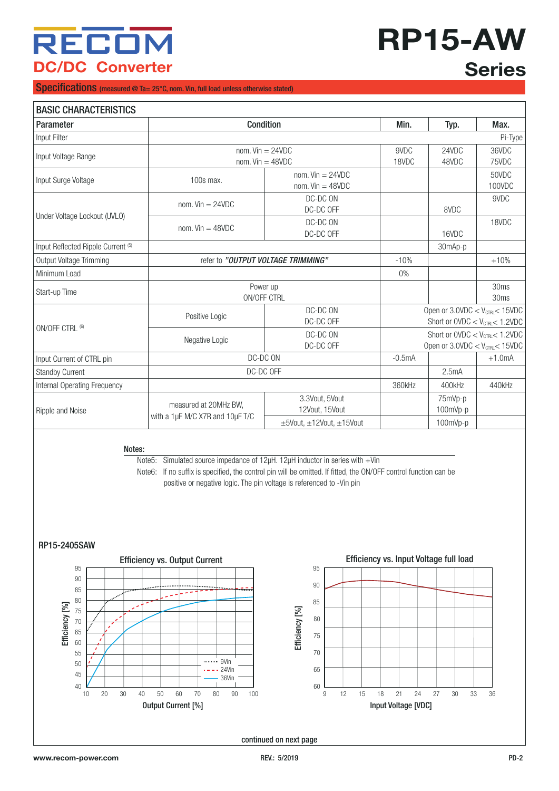# **RP15-AW Series**

Specifications (measured @ Ta= 25°C, nom. Vin, full load unless otherwise stated)

| <b>BASIC CHARACTERISTICS</b>                  |                                                                                                                                                                                                  |                                            |                                                                                           |                     |                 |
|-----------------------------------------------|--------------------------------------------------------------------------------------------------------------------------------------------------------------------------------------------------|--------------------------------------------|-------------------------------------------------------------------------------------------|---------------------|-----------------|
| <b>Parameter</b>                              | Condition                                                                                                                                                                                        |                                            | Min.                                                                                      | Typ.                | Max.            |
| Input Filter                                  |                                                                                                                                                                                                  |                                            |                                                                                           |                     | Pi-Type         |
| Input Voltage Range                           | nom. $Vin = 24VDC$<br>nom. $Vin = 48VDC$                                                                                                                                                         | 9VDC<br>18VDC                              | 24VDC<br>48VDC                                                                            | 36VDC<br>75VDC      |                 |
| Input Surge Voltage                           | 100s max.                                                                                                                                                                                        | nom. $Vin = 24VDC$<br>nom. $Vin = 48VDC$   |                                                                                           |                     | 50VDC<br>100VDC |
|                                               | nom. $Vin = 24VDC$                                                                                                                                                                               | DC-DC ON<br>DC-DC OFF                      |                                                                                           | 8VDC                | 9VDC            |
| Under Voltage Lockout (UVLO)                  | nom. $Vin = 48VDC$                                                                                                                                                                               | DC-DC ON<br>DC-DC OFF                      |                                                                                           | 16VDC               | 18VDC           |
| Input Reflected Ripple Current <sup>(5)</sup> |                                                                                                                                                                                                  |                                            |                                                                                           |                     |                 |
| Output Voltage Trimming                       |                                                                                                                                                                                                  | refer to "OUTPUT VOLTAGE TRIMMING"         | $-10%$                                                                                    |                     | $+10%$          |
| Minimum Load                                  |                                                                                                                                                                                                  |                                            | $0\%$                                                                                     |                     |                 |
| Start-up Time                                 | Power up<br>ON/OFF CTRL                                                                                                                                                                          |                                            |                                                                                           |                     | 30ms<br>30ms    |
|                                               | DC-DC ON<br>Positive Logic<br>DC-DC OFF                                                                                                                                                          |                                            | Open or $3.0$ VDC $<$ V <sub>CTRL</sub> $<$ 15VDC<br>Short or $OVDC < V_{CTRL} < 1.2 VDC$ |                     |                 |
| ON/OFF CTRL (6)                               | DC-DC ON<br>Negative Logic<br>DC-DC OFF                                                                                                                                                          |                                            | Short or $OVDC < V_{CTRI} < 1.2 VDC$<br>Open or $3.0$ VDC < $V_{\text{CTRL}}$ < 15VDC     |                     |                 |
| Input Current of CTRL pin                     | DC-DC ON                                                                                                                                                                                         |                                            | $-0.5mA$                                                                                  |                     | $+1.0$ mA       |
| <b>Standby Current</b>                        |                                                                                                                                                                                                  | DC-DC OFF                                  |                                                                                           | 2.5mA               |                 |
| Internal Operating Frequency                  |                                                                                                                                                                                                  |                                            | 360kHz                                                                                    | 400kHz              | 440kHz          |
| Ripple and Noise                              | measured at 20MHz BW,                                                                                                                                                                            | 3.3Vout, 5Vout<br>12Vout, 15Vout           |                                                                                           | 75mVp-p<br>100mVp-p |                 |
|                                               | with a 1µF M/C X7R and 10µF T/C                                                                                                                                                                  | $\pm 5$ Vout, $\pm 12$ Vout, $\pm 15$ Vout |                                                                                           | 100mVp-p            |                 |
| Notes:                                        | Note5: Simulated source impedance of 12µH. 12µH inductor in series with +Vin<br>Note6: If no suffix is specified, the control pin will be omitted. If fitted, the ON/OFF control function can be |                                            |                                                                                           |                     |                 |
|                                               | positive or negative logic. The pin voltage is referenced to -Vin pin                                                                                                                            |                                            |                                                                                           |                     |                 |

#### <span id="page-1-0"></span>RP15-2405SAW



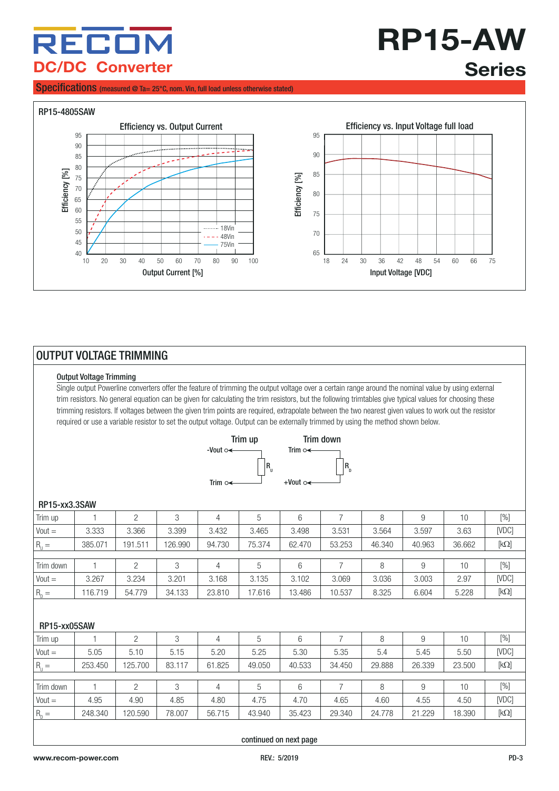**RP15-AW Series**

#### Specifications (measured @ Ta= 25°C, nom. Vin, full load unless otherwise stated)



#### <span id="page-2-0"></span>OUTPUT VOLTAGE TRIMMING

#### Output Voltage Trimming

Single output Powerline converters offer the feature of trimming the output voltage over a certain range around the nominal value by using external trim resistors. No general equation can be given for calculating the trim resistors, but the following trimtables give typical values for choosing these trimming resistors. If voltages between the given trim points are required, extrapolate between the two nearest given values to work out the resistor required or use a variable resistor to set the output voltage. Output can be externally trimmed by using the method shown below.



#### Trim up | 1 | 2 | 3 | 4 | 5 | 6 | 7 | 8 | 9 | 10 | [%] Vout = | 3.333 | 3.366 | 3.399 | 3.432 | 3.465 | 3.498 | 3.531 | 3.564 | 3.597 | 3.63 | [VDC]  $R_{\rm u} =$  $=$  385.071 | 191.511 | 126.990 | 94.730 | 75.374 | 62.470 | 53.253 | 46.340 | 40.963 | 36.662 | [kΩ] Trim down | 1 | 2 | 3 | 4 | 5 | 6 | 7 | 8 | 9 | 10 | [%] Vout = | 3.267 | 3.234 | 3.201 | 3.168 | 3.135 | 3.102 | 3.069 | 3.036 | 3.003 | 2.97 | [VDC]  $R_n =$  $=$  116.719 | 54.779 | 34.133 | 23.810 | 17.616 | 13.486 | 10.537 | 8.325 | 6.604 | 5.228 | [kΩ] RP15-xx3.3SAW Trim up | 1 | 2 | 3 | 4 | 5 | 6 | 7 | 8 | 9 | 10 | [%] Vout = | 5.05 | 5.10 | 5.15 | 5.20 | 5.25 | 5.30 | 5.35 | 5.45 | 5.45 | 5.50 | [VDC]  $R_{\rm u} =$  $=$  253.450 125.700 83.117 61.825 49.050 40.533 34.450 29.888 26.339 23.500 [kQ] Trim down | 1 | 2 | 3 | 4 | 5 | 6 | 7 | 8 | 9 | 10 | [%] Vout = | 4.95 | 4.90 | 4.85 | 4.80 | 4.75 | 4.70 | 4.65 | 4.60 | 4.55 | 4.50 | [VDC]  $R_n =$  $=$  248.340 | 120.590 | 78.007 | 56.715 | 43.940 | 35.423 | 29.340 | 24.778 | 21.229 | 18.390 | [kΩ] RP15-xx05SAW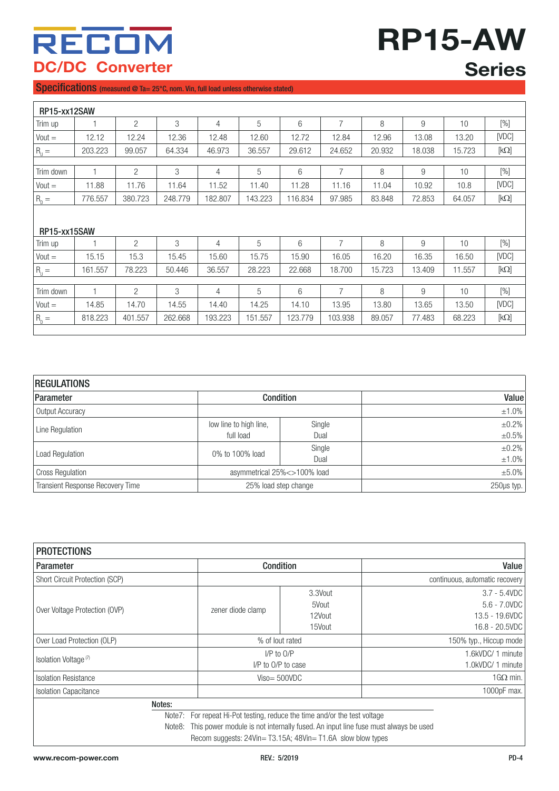**RP15-AW Series**

#### Specifications (measured @ Ta= 25°C, nom. Vin, full load unless otherwise stated)

| RP15-xx12SAW  |         |                |         |         |         |         |                |        |        |        |                                 |
|---------------|---------|----------------|---------|---------|---------|---------|----------------|--------|--------|--------|---------------------------------|
| Trim up       |         | $\overline{2}$ | 3       | 4       | 5       | 6       | $\overline{7}$ | 8      | 9      | 10     | $[\%]$                          |
| $Vout =$      | 12.12   | 12.24          | 12.36   | 12.48   | 12.60   | 12.72   | 12.84          | 12.96  | 13.08  | 13.20  | [VDC]                           |
| $R_{U} =$     | 203.223 | 99.057         | 64.334  | 46.973  | 36.557  | 29.612  | 24.652         | 20.932 | 18.038 | 15.723 | $\left[\mathsf{k}\Omega\right]$ |
|               |         |                |         |         |         |         |                |        |        |        |                                 |
| Trim down     | 1       | $\overline{2}$ | 3       | 4       | 5       | 6       | $\overline{7}$ | 8      | 9      | 10     | $[\%]$                          |
| $Vout =$      | 11.88   | 11.76          | 11.64   | 11.52   | 11.40   | 11.28   | 11.16          | 11.04  | 10.92  | 10.8   | [VDC]                           |
| $R_{\rm p} =$ | 776.557 | 380.723        | 248.779 | 182.807 | 143.223 | 116.834 | 97.985         | 83.848 | 72.853 | 64.057 | $\left[\mathrm{k}\Omega\right]$ |
| RP15-xx15SAW  |         |                |         |         |         |         |                |        |        |        |                                 |
| Trim up       |         | $\overline{2}$ | 3       | 4       | 5       | 6       | 7              | 8      | 9      | 10     | $[\%]$                          |
| $Vout =$      | 15.15   | 15.3           | 15.45   | 15.60   | 15.75   | 15.90   | 16.05          | 16.20  | 16.35  | 16.50  | [VDC]                           |
| $R_{\rm u} =$ | 161.557 | 78.223         | 50.446  | 36.557  | 28.223  | 22.668  | 18.700         | 15.723 | 13.409 | 11.557 | $\left[\mathsf{k}\Omega\right]$ |
|               |         |                |         |         |         |         |                |        |        |        |                                 |
| Trim down     | 1       | $\overline{2}$ | 3       | 4       | 5       | 6       | $\overline{7}$ | 8      | 9      | 10     | $[\%]$                          |
| $Vout =$      | 14.85   | 14.70          | 14.55   | 14.40   | 14.25   | 14.10   | 13.95          | 13.80  | 13.65  | 13.50  | [VDC]                           |
| $R_{D} =$     | 818.223 | 401.557        | 262.668 | 193.223 | 151.557 | 123.779 | 103.938        | 89.057 | 77.483 | 68.223 | $\left[\mathsf{k}\Omega\right]$ |

| <b>REGULATIONS</b>                      |                                |        |             |
|-----------------------------------------|--------------------------------|--------|-------------|
| Parameter                               | <b>Condition</b>               |        | Value       |
| Output Accuracy                         |                                |        | $±1.0\%$    |
| Line Regulation                         | low line to high line,         | Single | $\pm 0.2\%$ |
|                                         | full load                      | Dual   | $\pm 0.5\%$ |
|                                         | 0% to 100% load                | Single | $\pm 0.2\%$ |
| Load Regulation                         |                                | Dual   | $±1.0\%$    |
| <b>Cross Regulation</b>                 | asymmetrical 25% < > 100% load |        | $±5.0\%$    |
| <b>Transient Response Recovery Time</b> | 25% load step change           |        | 250µs typ.  |

| <b>PROTECTIONS</b>               |                                                                                                                                                                                                                                          |                                      |                                                                        |
|----------------------------------|------------------------------------------------------------------------------------------------------------------------------------------------------------------------------------------------------------------------------------------|--------------------------------------|------------------------------------------------------------------------|
| <b>Parameter</b>                 | <b>Condition</b>                                                                                                                                                                                                                         |                                      | Value                                                                  |
| Short Circuit Protection (SCP)   |                                                                                                                                                                                                                                          |                                      | continuous, automatic recovery                                         |
| Over Voltage Protection (OVP)    | zener diode clamp                                                                                                                                                                                                                        | 3.3Vout<br>5Vout<br>12Vout<br>15Vout | $3.7 - 5.4$ VDC<br>$5.6 - 7.0$ VDC<br>13.5 - 19.6VDC<br>16.8 - 20.5VDC |
| Over Load Protection (OLP)       | % of lout rated                                                                                                                                                                                                                          |                                      | 150% typ., Hiccup mode                                                 |
| Isolation Voltage <sup>(7)</sup> | $I/P$ to $O/P$<br>I/P to O/P to case                                                                                                                                                                                                     |                                      | 1.6kVDC/ 1 minute<br>1.0kVDC/ 1 minute                                 |
| <b>Isolation Resistance</b>      | $Viso=500VDC$                                                                                                                                                                                                                            |                                      | $1G\Omega$ min.                                                        |
| <b>Isolation Capacitance</b>     |                                                                                                                                                                                                                                          |                                      | 1000pF max.                                                            |
| Notes:                           | For repeat Hi-Pot testing, reduce the time and/or the test voltage<br>Note7:<br>This power module is not internally fused. An input line fuse must always be used<br>Note8:<br>Recom suggests: 24Vin=T3.15A; 48Vin=T1.6A slow blow types |                                      |                                                                        |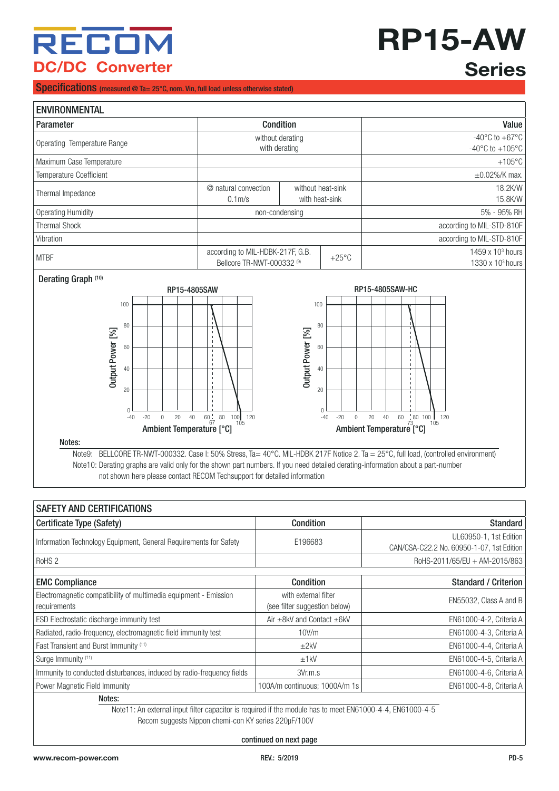# **RP15-AW Series**

#### Specifications (measured @ Ta= 25°C, nom. Vin, full load unless otherwise stated)

| <b>ENVIRONMENTAL</b>           |                                                                |                                     |                 |                                                                                             |
|--------------------------------|----------------------------------------------------------------|-------------------------------------|-----------------|---------------------------------------------------------------------------------------------|
| Parameter                      |                                                                | <b>Condition</b>                    |                 | Value                                                                                       |
| Operating Temperature Range    | without derating<br>with derating                              |                                     |                 | -40 $\mathrm{^{\circ}C}$ to +67 $\mathrm{^{\circ}C}$<br>$-40^{\circ}$ C to $+105^{\circ}$ C |
| Maximum Case Temperature       |                                                                |                                     |                 | $+105^{\circ}$ C                                                                            |
| <b>Temperature Coefficient</b> |                                                                |                                     |                 | $\pm 0.02\%$ /K max.                                                                        |
| Thermal Impedance              | @ natural convection<br>$0.1m$ /s                              | without heat-sink<br>with heat-sink |                 | 18.2K/W<br>15.8K/W                                                                          |
| Operating Humidity             |                                                                | non-condensing                      |                 | 5% - 95% RH                                                                                 |
| <b>Thermal Shock</b>           |                                                                |                                     |                 | according to MIL-STD-810F                                                                   |
| Vibration                      |                                                                |                                     |                 | according to MIL-STD-810F                                                                   |
| <b>MTBF</b>                    | according to MIL-HDBK-217F, G.B.<br>Bellcore TR-NWT-000332 (9) |                                     | $+25^{\circ}$ C | 1459 x $103$ hours<br>1330 x $103$ hours                                                    |

Derating Graph<sup>(10)</sup>



Notes:

Note9: BELLCORE TR-NWT-000332. Case l: 50% Stress, Ta= 40°C. MIL-HDBK 217F Notice 2. Ta = 25°C, full load, (controlled environment) Note10: Derating graphs are valid only for the shown part numbers. If you need detailed derating-information about a part-number not shown here please contact RECOM Techsupport for detailed information

| <b>SAFETY AND CERTIFICATIONS</b>                                                                          |                                                       |                                                                     |  |  |  |
|-----------------------------------------------------------------------------------------------------------|-------------------------------------------------------|---------------------------------------------------------------------|--|--|--|
| Certificate Type (Safety)                                                                                 | Condition                                             | Standard                                                            |  |  |  |
| Information Technology Equipment, General Requirements for Safety                                         | E196683                                               | UL60950-1, 1st Edition<br>CAN/CSA-C22.2 No. 60950-1-07, 1st Edition |  |  |  |
| RoHS <sub>2</sub>                                                                                         |                                                       | RoHS-2011/65/EU + AM-2015/863                                       |  |  |  |
|                                                                                                           |                                                       |                                                                     |  |  |  |
| <b>EMC Compliance</b>                                                                                     | <b>Condition</b>                                      | <b>Standard / Criterion</b>                                         |  |  |  |
| Electromagnetic compatibility of multimedia equipment - Emission<br>requirements                          | with external filter<br>(see filter suggestion below) | EN55032, Class A and B                                              |  |  |  |
| ESD Electrostatic discharge immunity test                                                                 | Air $\pm$ 8kV and Contact $\pm$ 6kV                   | EN61000-4-2, Criteria A                                             |  |  |  |
| Radiated, radio-frequency, electromagnetic field immunity test                                            | 10V/m                                                 | EN61000-4-3, Criteria A                                             |  |  |  |
| Fast Transient and Burst Immunity (11)                                                                    | ±2kV                                                  | EN61000-4-4, Criteria A                                             |  |  |  |
| Surge Immunity (11)                                                                                       | ±1kV                                                  | EN61000-4-5, Criteria A                                             |  |  |  |
| Immunity to conducted disturbances, induced by radio-frequency fields                                     | 3Vr.m.s                                               | EN61000-4-6, Criteria A                                             |  |  |  |
| Power Magnetic Field Immunity                                                                             | 100A/m continuous; 1000A/m 1s                         | EN61000-4-8, Criteria A                                             |  |  |  |
| Notes:                                                                                                    |                                                       |                                                                     |  |  |  |
| Note 11, An orternal input filter conceitor is required if the module hee to meet ENG1000 4 4 ENG1000 4 5 |                                                       |                                                                     |  |  |  |

Note11: An external input filter capacitor is required if the module has to meet EN61000-4-4, EN61000-4-5 Recom suggests Nippon chemi-con KY series 220µF/100V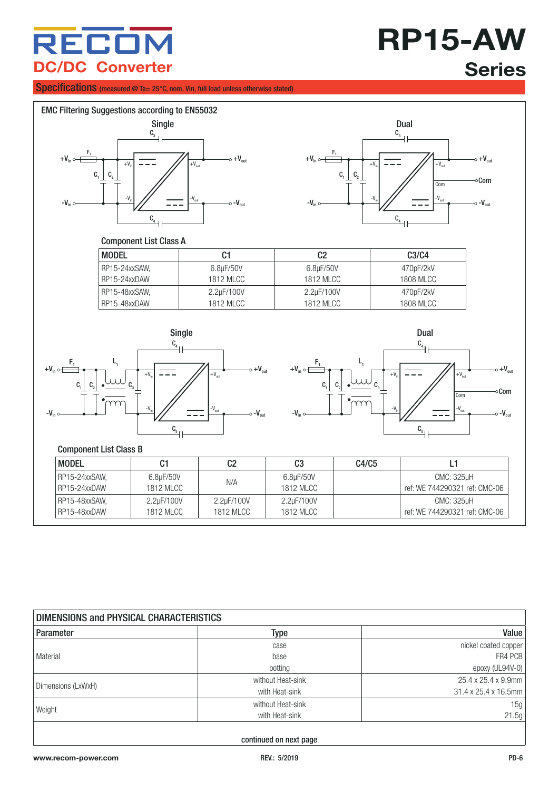## **RP15-AW Series**

#### Specifications (measured @ Ta= 25°C, nom. Vin, full load unless otherwise stated)





#### Component List Class A

| <b>MODEL</b>  | C1               | C <sub>2</sub> | C <sub>3</sub> /C <sub>4</sub> |
|---------------|------------------|----------------|--------------------------------|
| RP15-24xxSAW. | 6.8µF/50V        | 6.8µF/50V      | 470pF/2kV                      |
| RP15-24xxDAW  | <b>1812 MLCC</b> | 1812 MLCC      | 1808 MLCC                      |
| RP15-48xxSAW. | 2.2µF/100V       | 2.2µF/100V     | 470pF/2kV                      |
| RP15-48xxDAW  | <b>1812 MLCC</b> | 1812 MLCC      | <b>1808 MLCC</b>               |





#### Component List Class B

 $\blacksquare$ 

| <b>MODEL</b>  | C1               | C2               | C3               | C4/C5 |                               |
|---------------|------------------|------------------|------------------|-------|-------------------------------|
| RP15-24xxSAW, | 6.8µF/50V        | N/A              | 6.8µF/50V        |       | CMC: 325uH                    |
| RP15-24xxDAW  | <b>1812 MLCC</b> |                  | <b>1812 MLCC</b> |       | ref: WE 744290321 ref: CMC-06 |
| RP15-48xxSAW, | 2.2uF/100V       | 2.2uF/100V       | 2.2µF/100V       |       | CMC: 325uH                    |
| RP15-48xxDAW  | <b>1812 MLCC</b> | <b>1812 MLCC</b> | 1812 MLCC        |       | ref: WE 744290321 ref: CMC-06 |

<span id="page-5-0"></span>

| DIMENSIONS and PHYSICAL CHARACTERISTICS |                   |                      |  |  |
|-----------------------------------------|-------------------|----------------------|--|--|
| Parameter                               | Type              | Value                |  |  |
|                                         | case              | nickel coated copper |  |  |
| l Material                              | base              | FR4 PCB              |  |  |
|                                         | potting           | epoxy (UL94V-0)      |  |  |
| Dimensions (LxWxH)                      | without Heat-sink | 25.4 x 25.4 x 9.9mm  |  |  |
|                                         | with Heat-sink    | 31.4 x 25.4 x 16.5mm |  |  |
| Weight                                  | without Heat-sink | 15g                  |  |  |
|                                         | with Heat-sink    | 21.5g                |  |  |
|                                         |                   |                      |  |  |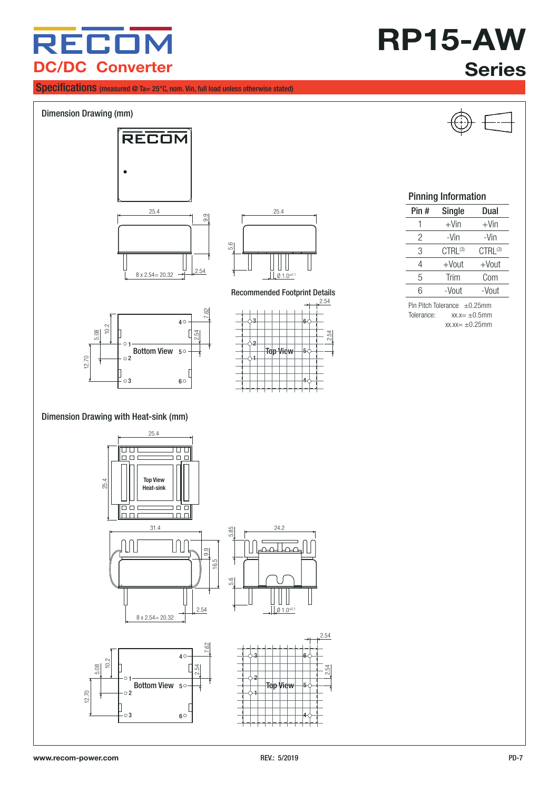Specifications (measured @ Ta= 25°C, nom. Vin, full load unless otherwise stated)

### **RP15-AW Series**



12.70

 $\subset$ 5.08

1

 $\circ$ 2

 $\circ$ 3

8 x 2.54= 20.32

2.54

4

 $6^{\circ}$ 

 $\begin{array}{|c|c|c|}\n\hline\n & 40 & 3 \\
\hline\n & 5 & 3 \\
\hline\n\end{array}$ <br>
Bottom View  $\begin{array}{|c|c|c|}\n\hline\n & 2 & 7 \\
\hline\n\end{array}$  Top View

1

2

3

5○─┼─┼──────┼─┼───Top View ├─

 $\theta$  1.0<sup>±0.1</sup>

 $\Box$ 

2.54

4

6

2.54